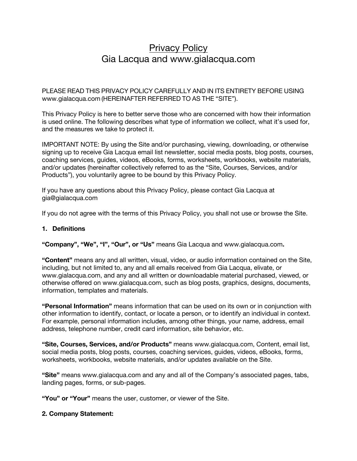# Privacy Policy Gia Lacqua and www.gialacqua.com

PLEASE READ THIS PRIVACY POLICY CAREFULLY AND IN ITS ENTIRETY BEFORE USING www.gialacqua.com (HEREINAFTER REFERRED TO AS THE "SITE").

This Privacy Policy is here to better serve those who are concerned with how their information is used online. The following describes what type of information we collect, what it's used for, and the measures we take to protect it.

IMPORTANT NOTE: By using the Site and/or purchasing, viewing, downloading, or otherwise signing up to receive Gia Lacqua email list newsletter, social media posts, blog posts, courses, coaching services, guides, videos, eBooks, forms, worksheets, workbooks, website materials, and/or updates (hereinafter collectively referred to as the "Site, Courses, Services, and/or Products"), you voluntarily agree to be bound by this Privacy Policy.

If you have any questions about this Privacy Policy, please contact Gia Lacqua at gia@gialacqua.com

If you do not agree with the terms of this Privacy Policy, you shall not use or browse the Site.

#### **1. Definitions**

**"Company", "We", "I", "Our", or "Us"** means Gia Lacqua and www.gialacqua.com**.** 

**"Content"** means any and all written, visual, video, or audio information contained on the Site, including, but not limited to, any and all emails received from Gia Lacqua, elivate, or www.gialacqua.com, and any and all written or downloadable material purchased, viewed, or otherwise offered on www.gialacqua.com, such as blog posts, graphics, designs, documents, information, templates and materials.

**"Personal Information"** means information that can be used on its own or in conjunction with other information to identify, contact, or locate a person, or to identify an individual in context. For example, personal information includes, among other things, your name, address, email address, telephone number, credit card information, site behavior, etc.

**"Site, Courses, Services, and/or Products"** means www.gialacqua.com, Content, email list, social media posts, blog posts, courses, coaching services, guides, videos, eBooks, forms, worksheets, workbooks, website materials, and/or updates available on the Site.

**"Site"** means www.gialacqua.com and any and all of the Company's associated pages, tabs, landing pages, forms, or sub-pages.

**"You" or "Your"** means the user, customer, or viewer of the Site.

#### **2. Company Statement:**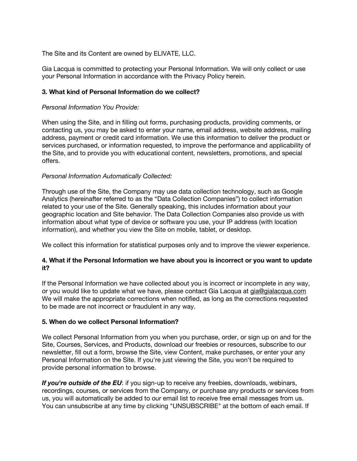The Site and its Content are owned by ELIVATE, LLC.

Gia Lacqua is committed to protecting your Personal Information. We will only collect or use your Personal Information in accordance with the Privacy Policy herein.

# **3. What kind of Personal Information do we collect?**

# *Personal Information You Provide:*

When using the Site, and in filling out forms, purchasing products, providing comments, or contacting us, you may be asked to enter your name, email address, website address, mailing address, payment or credit card information. We use this information to deliver the product or services purchased, or information requested, to improve the performance and applicability of the Site, and to provide you with educational content, newsletters, promotions, and special offers.

# *Personal Information Automatically Collected:*

Through use of the Site, the Company may use data collection technology, such as Google Analytics (hereinafter referred to as the "Data Collection Companies") to collect information related to your use of the Site. Generally speaking, this includes information about your geographic location and Site behavior. The Data Collection Companies also provide us with information about what type of device or software you use, your IP address (with location information), and whether you view the Site on mobile, tablet, or desktop.

We collect this information for statistical purposes only and to improve the viewer experience.

# **4. What if the Personal Information we have about you is incorrect or you want to update it?**

If the Personal Information we have collected about you is incorrect or incomplete in any way, or you would like to update what we have, please contact Gia Lacqua at gia@gialacqua.com We will make the appropriate corrections when notified, as long as the corrections requested to be made are not incorrect or fraudulent in any way.

#### **5. When do we collect Personal Information?**

We collect Personal Information from you when you purchase, order, or sign up on and for the Site, Courses, Services, and Products, download our freebies or resources, subscribe to our newsletter, fill out a form, browse the Site, view Content, make purchases, or enter your any Personal Information on the Site. If you're just viewing the Site, you won't be required to provide personal information to browse.

*If you're outside of the EU*: if you sign-up to receive any freebies, downloads, webinars, recordings, courses, or services from the Company, or purchase any products or services from us, you will automatically be added to our email list to receive free email messages from us. You can unsubscribe at any time by clicking "UNSUBSCRIBE" at the bottom of each email. If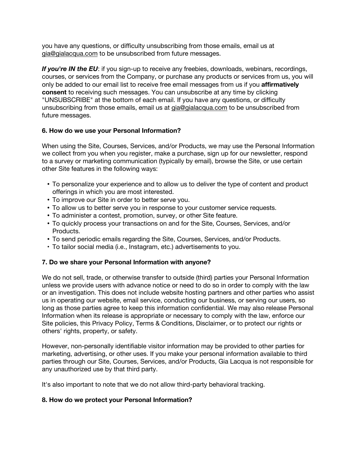you have any questions, or difficulty unsubscribing from those emails, email us at gia@gialacqua.com to be unsubscribed from future messages.

*If you're IN the EU*: if you sign-up to receive any freebies, downloads, webinars, recordings, courses, or services from the Company, or purchase any products or services from us, you will only be added to our email list to receive free email messages from us if you **affirmatively consent** to receiving such messages. You can unsubscribe at any time by clicking "UNSUBSCRIBE" at the bottom of each email. If you have any questions, or difficulty unsubscribing from those emails, email us at gia@gialacqua.com to be unsubscribed from future messages.

# **6. How do we use your Personal Information?**

When using the Site, Courses, Services, and/or Products, we may use the Personal Information we collect from you when you register, make a purchase, sign up for our newsletter, respond to a survey or marketing communication (typically by email), browse the Site, or use certain other Site features in the following ways:

- To personalize your experience and to allow us to deliver the type of content and product offerings in which you are most interested.
- To improve our Site in order to better serve you.
- To allow us to better serve you in response to your customer service requests.
- To administer a contest, promotion, survey, or other Site feature.
- To quickly process your transactions on and for the Site, Courses, Services, and/or Products.
- To send periodic emails regarding the Site, Courses, Services, and/or Products.
- To tailor social media (i.e., Instagram, etc.) advertisements to you.

#### **7. Do we share your Personal Information with anyone?**

We do not sell, trade, or otherwise transfer to outside (third) parties your Personal Information unless we provide users with advance notice or need to do so in order to comply with the law or an investigation. This does not include website hosting partners and other parties who assist us in operating our website, email service, conducting our business, or serving our users, so long as those parties agree to keep this information confidential. We may also release Personal Information when its release is appropriate or necessary to comply with the law, enforce our Site policies, this Privacy Policy, Terms & Conditions, Disclaimer, or to protect our rights or others' rights, property, or safety.

However, non-personally identifiable visitor information may be provided to other parties for marketing, advertising, or other uses. If you make your personal information available to third parties through our Site, Courses, Services, and/or Products, Gia Lacqua is not responsible for any unauthorized use by that third party.

It's also important to note that we do not allow third-party behavioral tracking.

#### **8. How do we protect your Personal Information?**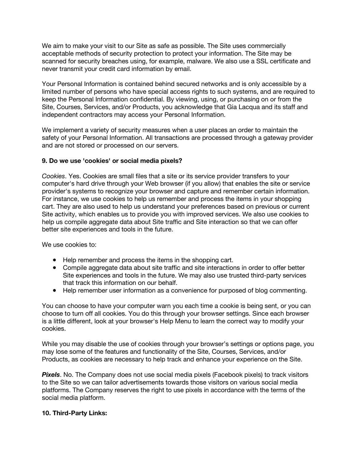We aim to make your visit to our Site as safe as possible. The Site uses commercially acceptable methods of security protection to protect your information. The Site may be scanned for security breaches using, for example, malware. We also use a SSL certificate and never transmit your credit card information by email.

Your Personal Information is contained behind secured networks and is only accessible by a limited number of persons who have special access rights to such systems, and are required to keep the Personal Information confidential. By viewing, using, or purchasing on or from the Site, Courses, Services, and/or Products, you acknowledge that Gia Lacqua and its staff and independent contractors may access your Personal Information.

We implement a variety of security measures when a user places an order to maintain the safety of your Personal Information. All transactions are processed through a gateway provider and are not stored or processed on our servers.

#### **9. Do we use 'cookies' or social media pixels?**

*Cookies*. Yes. Cookies are small files that a site or its service provider transfers to your computer's hard drive through your Web browser (if you allow) that enables the site or service provider's systems to recognize your browser and capture and remember certain information. For instance, we use cookies to help us remember and process the items in your shopping cart. They are also used to help us understand your preferences based on previous or current Site activity, which enables us to provide you with improved services. We also use cookies to help us compile aggregate data about Site traffic and Site interaction so that we can offer better site experiences and tools in the future.

We use cookies to:

- Help remember and process the items in the shopping cart.
- Compile aggregate data about site traffic and site interactions in order to offer better Site experiences and tools in the future. We may also use trusted third-party services that track this information on our behalf.
- Help remember user information as a convenience for purposed of blog commenting.

You can choose to have your computer warn you each time a cookie is being sent, or you can choose to turn off all cookies. You do this through your browser settings. Since each browser is a little different, look at your browser's Help Menu to learn the correct way to modify your cookies.

While you may disable the use of cookies through your browser's settings or options page, you may lose some of the features and functionality of the Site, Courses, Services, and/or Products, as cookies are necessary to help track and enhance your experience on the Site.

**Pixels**. No. The Company does not use social media pixels (Facebook pixels) to track visitors to the Site so we can tailor advertisements towards those visitors on various social media platforms. The Company reserves the right to use pixels in accordance with the terms of the social media platform.

#### **10. Third-Party Links:**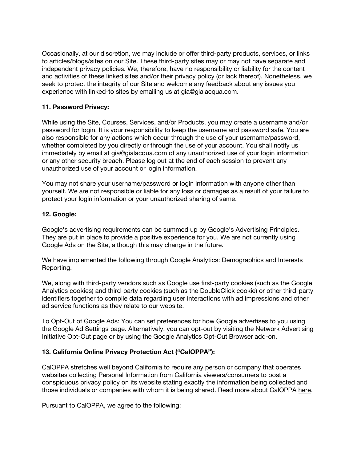Occasionally, at our discretion, we may include or offer third-party products, services, or links to articles/blogs/sites on our Site. These third-party sites may or may not have separate and independent privacy policies. We, therefore, have no responsibility or liability for the content and activities of these linked sites and/or their privacy policy (or lack thereof). Nonetheless, we seek to protect the integrity of our Site and welcome any feedback about any issues you experience with linked-to sites by emailing us at gia@gialacqua.com.

# **11. Password Privacy:**

While using the Site, Courses, Services, and/or Products, you may create a username and/or password for login. It is your responsibility to keep the username and password safe. You are also responsible for any actions which occur through the use of your username/password, whether completed by you directly or through the use of your account. You shall notify us immediately by email at gia@gialacqua.com of any unauthorized use of your login information or any other security breach. Please log out at the end of each session to prevent any unauthorized use of your account or login information.

You may not share your username/password or login information with anyone other than yourself. We are not responsible or liable for any loss or damages as a result of your failure to protect your login information or your unauthorized sharing of same.

# **12. Google:**

Google's advertising requirements can be summed up by Google's Advertising Principles. They are put in place to provide a positive experience for you. We are not currently using Google Ads on the Site, although this may change in the future.

We have implemented the following through Google Analytics: Demographics and Interests Reporting.

We, along with third-party vendors such as Google use first-party cookies (such as the Google Analytics cookies) and third-party cookies (such as the DoubleClick cookie) or other third-party identifiers together to compile data regarding user interactions with ad impressions and other ad service functions as they relate to our website.

To Opt-Out of Google Ads: You can set preferences for how Google advertises to you using the Google Ad Settings page. Alternatively, you can opt-out by visiting the Network Advertising Initiative Opt-Out page or by using the Google Analytics Opt-Out Browser add-on.

# **13. California Online Privacy Protection Act ("CalOPPA"):**

CalOPPA stretches well beyond California to require any person or company that operates websites collecting Personal Information from California viewers/consumers to post a conspicuous privacy policy on its website stating exactly the information being collected and those individuals or companies with whom it is being shared. Read more about CalOPPA here.

Pursuant to CalOPPA, we agree to the following: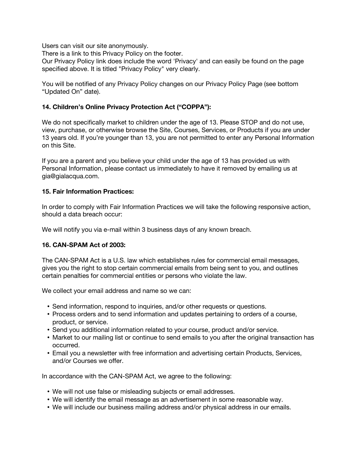Users can visit our site anonymously.

There is a link to this Privacy Policy on the footer.

Our Privacy Policy link does include the word 'Privacy' and can easily be found on the page specified above. It is titled "Privacy Policy" very clearly.

You will be notified of any Privacy Policy changes on our Privacy Policy Page (see bottom "Updated On" date).

#### **14. Children's Online Privacy Protection Act ("COPPA"):**

We do not specifically market to children under the age of 13. Please STOP and do not use, view, purchase, or otherwise browse the Site, Courses, Services, or Products if you are under 13 years old. If you're younger than 13, you are not permitted to enter any Personal Information on this Site.

If you are a parent and you believe your child under the age of 13 has provided us with Personal Information, please contact us immediately to have it removed by emailing us at gia@gialacqua.com.

#### **15. Fair Information Practices:**

In order to comply with Fair Information Practices we will take the following responsive action, should a data breach occur:

We will notify you via e-mail within 3 business days of any known breach.

#### **16. CAN-SPAM Act of 2003:**

The CAN-SPAM Act is a U.S. law which establishes rules for commercial email messages, gives you the right to stop certain commercial emails from being sent to you, and outlines certain penalties for commercial entities or persons who violate the law.

We collect your email address and name so we can:

- Send information, respond to inquiries, and/or other requests or questions.
- Process orders and to send information and updates pertaining to orders of a course, product, or service.
- Send you additional information related to your course, product and/or service.
- Market to our mailing list or continue to send emails to you after the original transaction has occurred.
- Email you a newsletter with free information and advertising certain Products, Services, and/or Courses we offer.

In accordance with the CAN-SPAM Act, we agree to the following:

- We will not use false or misleading subjects or email addresses.
- We will identify the email message as an advertisement in some reasonable way.
- We will include our business mailing address and/or physical address in our emails.